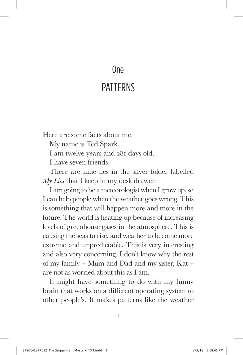## One

## **PATTFRNS**

Here are some facts about me.

My name is Ted Spark.

I am twelve years and 281 days old.

I have seven friends.

There are nine lies in the silver folder labelled *My Lies* that I keep in my desk drawer.

I am going to be a meteorologist when I grow up, so I can help people when the weather goes wrong. This is something that will happen more and more in the future. The world is heating up because of increasing levels of greenhouse gases in the atmosphere. This is causing the seas to rise, and weather to become more extreme and unpredictable. This is very interesting and also very concerning. I don't know why the rest of my family – Mum and Dad and my sister, Kat – are not as worried about this as I am.

It might have something to do with my funny brain that works on a different operating system to other people's. It makes patterns like the weather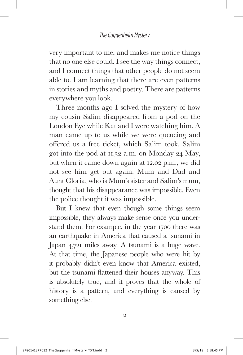very important to me, and makes me notice things that no one else could. I see the way things connect, and I connect things that other people do not seem able to. I am learning that there are even patterns in stories and myths and poetry. There are patterns everywhere you look.

Three months ago I solved the mystery of how my cousin Salim disappeared from a pod on the London Eye while Kat and I were watching him. A man came up to us while we were queueing and offered us a free ticket, which Salim took. Salim got into the pod at 11.32 a.m. on Monday 24 May, but when it came down again at 12.02 p.m., we did not see him get out again. Mum and Dad and Aunt Gloria, who is Mum's sister and Salim's mum, thought that his disappearance was impossible. Even the police thought it was impossible.

But I knew that even though some things seem impossible, they always make sense once you understand them. For example, in the year 1700 there was an earthquake in America that caused a tsunami in Japan 4,721 miles away. A tsunami is a huge wave. At that time, the Japanese people who were hit by it probably didn't even know that America existed, but the tsunami flattened their houses anyway. This is absolutely true, and it proves that the whole of history is a pattern, and everything is caused by something else.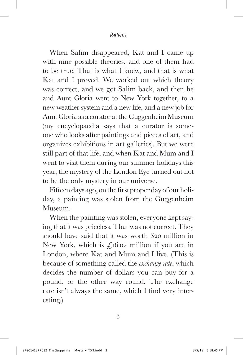## *Patterns*

When Salim disappeared, Kat and I came up with nine possible theories, and one of them had to be true. That is what I knew, and that is what Kat and I proved. We worked out which theory was correct, and we got Salim back, and then he and Aunt Gloria went to New York together, to a new weather system and a new life, and a new job for Aunt Gloria as a curator at the Guggenheim Museum (my encyclopaedia says that a curator is someone who looks after paintings and pieces of art, and organizes exhibitions in art galleries). But we were still part of that life, and when Kat and Mum and I went to visit them during our summer holidays this year, the mystery of the London Eye turned out not to be the only mystery in our universe.

Fifteen days ago, on the first proper day of our holiday, a painting was stolen from the Guggenheim Museum.

When the painting was stolen, everyone kept saying that it was priceless. That was not correct. They should have said that it was worth \$20 million in New York, which is  $f_116.02$  million if you are in London, where Kat and Mum and I live. (This is because of something called the *exchange rate*, which decides the number of dollars you can buy for a pound, or the other way round. The exchange rate isn't always the same, which I find very interesting.)